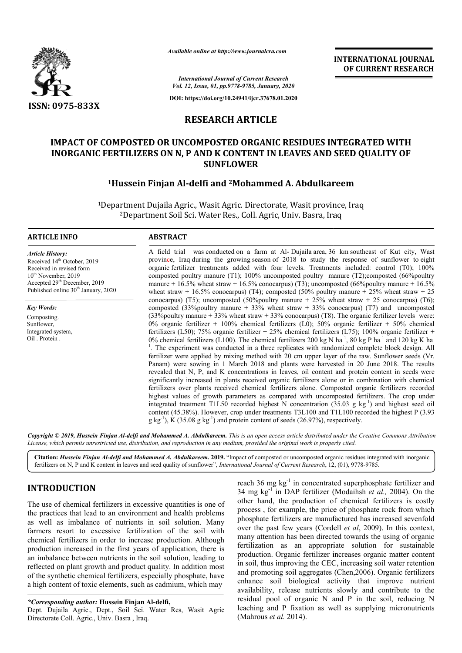

*Available online at http://www.journalcra.com*

**INTERNATIONAL JOURNAL OF CURRENT RESEARCH**

*International Journal of Current Research Vol. 12, Issue, 01, pp.9778-9785, January, 2020*

**DOI: https://doi.org/10.24941/ijcr.37678.01.2020**

# **RESEARCH ARTICLE**

# **IMPACT OF COMPOSTED OR UNCOMPOSTED ORGANIC RESIDUES INTEGRATED WITH**  INORGANIC FERTILIZERS ON N, P AND K CONTENT IN LEAVES AND SEED QUALITY OF **SUNFLOWER**

# **1Hussein Finjan Al Hussein Al-delfi and 2Mohammed A. Abdulkareem Mohammed**

<sup>1</sup>Department Dujaila Agric., Wasit Agric. Directorate, Wasit province, Iraq 2Department Department Soil Sci. Water Res., Coll. Agric, Univ. Basra, Iraq ,

### **ARTICLE INFO ABSTRACT**

*Article History:* Received 14<sup>th</sup> October, 2019 Received in revised form 10<sup>th</sup> November, 2019 Accepted 29<sup>th</sup> December, 2019 Published online 30<sup>th</sup> January, 2020

*Key Words:*

Composting. Sunflower, Integrated system, Oil Protein

A field trial was conducted on a farm at Al- Dujaila area, 36 km southeast of Kut city, Wast province, Iraq during the growing season of 2018 to study the response of sunflower to eight organic fertilizer treatments added with four levels. Treatments included: control (T0); 100% composted poultry manure (T1); 100% uncomposted poultry manure (T2);composted (66% poultry manure  $+16.5\%$  wheat straw  $+16.5\%$  conocarpus) (T3); uncomposted (66% poultry manure  $+16.5\%$ wheat straw + 16.5% conocarpus) (T4); composted (50% poultry manure + 25% wheat straw + 25 conocarpus) (T5); uncomposted (50%poultry manure  $+ 25%$  wheat straw  $+ 25$  conocarpus) (T6); composted (33%poultry manure  $+$  33% wheat straw  $+$  33% conocarpus) (T7) and uncomposted  $(33\%$ poultry manure + 33% wheat straw + 33% conocarpus) (T8). The organic fertilizer levels were: 0% organic fertilizer + 100% chemical fertilizers (L0); 50% organic fertilizer + 50% chemical fertilizers (L50); 75% organic fertilizer + 25% chemical fertilizers (L75); 100% organic fertilizer + 0% organic fertilizer + 100% chemical fertilizers (L0); 50% organic fertilizer + 50% chemical fertilizers (L5); 75% organic fertilizer + 25% chemical fertilizers (L75); 100% organic fertilizer + 0% chemical fertilizers (L . The experiment was conducted in a three replicates with randomized complete block design. All <sup>1</sup>. The experiment was conducted in a three replicates with randomized complete block design. All fertilizer were applied by mixing method with 20 cm upper layer of the raw. Sunflower seeds (Vr. Panam) were sowing in 1 March 2018 and plants were harvested in 20 June 2018. The results revealed that N, P, and K concentrations in leaves, oil content and protein content in seeds were significantly increased in plants received organic fertilizers alone or in combination with chemical fertilizers over plants received chemical fertilizers alone. Composted organic fertilizers recorded highest values of growth parameters as compared with uncomposted fertilizers. The crop under integrated treatment T1L50 recorded highest N concentration  $(35.03 \text{ g kg}^{-1})$  and highest seed oil content (45.38%). However, crop under treatments T3L100 and T1L100 recorded the highest P (3.93 content (45.38%). However, crop under treatments T3L100 and T1L100 recorded the highest g kg<sup>-1</sup>), K (35.08 g kg<sup>-1</sup>) and protein content of seeds (26.97%), respectively. organic fertilizer treatments added with four levels. Treatments included: control (T0); 100% composted poultry manure (T1); 100% uncomposted poultry manure (T2);composted (66%poultry manure + 16.5% wheat straw + 16.5% con conocarpus) (T5); uncomposted (50%poultry manure + 25% wheat straw + 25 conocarpus) (T6); composted (33%poultry manure + 33% wheat straw + 33% conocarpus) (T7) and uncomposted (33%poultry manure + 33% wheat straw + 33% co Panam) were sowing in 1 March 2018 and plants were harvested in 20 June 2018. The results revealed that N, P, and K concentrations in leaves, oil content and protein content in seeds were significantly increased in plants **INTERNATIONAL JOURNAL FIONAL FORMEENT RESEARCH (S.16 manners). OF CURRENT RESEARCH S.16 manners and the supplying** *istantial* **and**  $\mathbf{F}$  **is the supplying**  $\mathbf{F}$  **is**  $\mathbf{F}$  **is**  $\mathbf{F}$  **is**  $\mathbf{F}$  **is**  $\mathbf{F}$  **is \** 

Copyright © 2019, Hussein Finjan Al-delfi and Mohammed A. Abdulkareem. This is an open access article distributed under the Creative Commons Attribution License, which permits unrestricted use, distribution, and reproduction in any medium, provided the original work is properly cited.

Citation: *Hussein Finjan Al-delfi and Mohammed A. Abdulkareem. 2019. "Impact of composted or uncomposted organic residues integrated with inorganic* fertilizers on N, P and K content in leaves and seed quality of sunflower", *International Journal of Current Research*, 12, (01), 9778-9785.

## **INTRODUCTION**

The use of chemical fertilizers in excessive quantities is one of the practices that lead to an environment and health problems as well as imbalance of nutrients in soil solution. Many farmers resort to excessive fertilization of the soil with chemical fertilizers in order to increase production. Although production increased in the first years of application, there is an imbalance between nutrients in the soil solution, leading to reflected on plant growth and product quality. In addition most of the synthetic chemical fertilizers, especially phosphate, have a high content of toxic elements, such as cadmium, which may rtilizers<br>increase<br>ce betwe<br>plant gr<br>etic cher

Dept. Dujaila Agric., Dept., Soil Sci. Water Res, Wasit Agric Directorate Coll. Agric., Univ. Basra , Iraq.

reach 36 mg kg<sup>-1</sup> in concentrated superphosphate fertilizer and<br>34 mg kg<sup>-1</sup> in DAP fertilizer (Modainsh *et al.*, 2004). On the<br>12 of the solution of the solution of the solution of the solution. Many<br>12 phosphate fertil 34 mg kg-1 in DAP fertilizer (Modaihsh *et al.,* 2004). On the other hand, the production of chemical fertilizers is costly process , for example, the price of phosphate rock from which phosphate fertilizers are manufactured has increased sevenfold other hand, the production of chemical fertilizers is costly process, for example, the price of phosphate rock from which phosphate fertilizers are manufactured has increased sevenfold over the past few years (Cordell *et* many attention has been directed towards the using of organic fertilization as an appropriate solution for sustainable production. Organic fertilizer increases organic matter content in soil, thus improving the CEC, increasing soil water retention and promoting soil aggregates (Chen,2006). Organic fertilizers enhance soil biological activity that improve nutrient availability, release nutrients slowly and contribute to the residual pool of organic N and P in the soil, reducing N leaching and P fixation as well as supplying micronutrients (Mahrous *et al.* 2014). reach 36 mg kg<sup>-1</sup> in concentrated superphosphate fertilizer and has been directed towards the using of organic<br>i an appropriate solution for sustainable<br>ganic fertilizer increases organic matter content<br>proving the CEC, increasing soil water retention

*<sup>\*</sup>Corresponding author:* **Hussein Finjan Al-delfi,**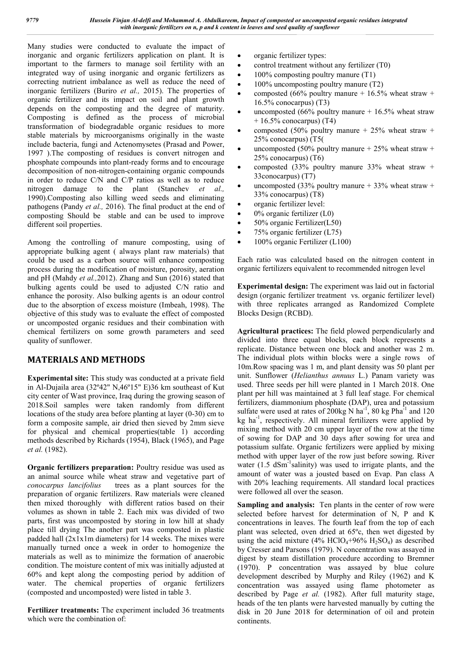Many studies were conducted to evaluate the impact of inorganic and organic fertilizers application on plant. It is important to the farmers to manage soil fertility with an integrated way of using inorganic and organic fertilizers as correcting nutrient imbalance as well as reduce the need of inorganic fertilizers (Buriro *et al.,* 2015). The properties of organic fertilizer and its impact on soil and plant growth depends on the composting and the degree of maturity. Composting is defined as the process of microbial transformation of biodegradable organic residues to more stable materials by microorganisms originally in the waste include bacteria, fungi and Actenomysetes (Prasad and Power, 1997 ).The composting of residues is convert nitrogen and phosphate compounds into plant-ready forms and to encourage decomposition of non-nitrogen-containing organic compounds in order to reduce C/N and C/P ratios as well as to reduce nitrogen damage to the plant (Stanchev *et al.,* 1990).Composting also killing weed seeds and eliminating pathogens (Pandy *et al.,* 2016). The final product at the end of composting Should be stable and can be used to improve different soil properties.

Among the controlling of manure composting, using of appropriate bulking agent ( always plant raw materials) that could be used as a carbon source will enhance composting process during the modification of moisture, porosity, aeration and pH (Mahdy *et al.,*2012). Zhang and Sun (2016) stated that bulking agents could be used to adjusted C/N ratio and enhance the porosity. Also bulking agents is an odour control due to the absorption of excess moisture (Imbeah, 1998). The objective of this study was to evaluate the effect of composted or uncomposted organic residues and their combination with chemical fertilizers on some growth parameters and seed quality of sunflower.

# **MATERIALS AND METHODS**

**Experimental site:** This study was conducted at a private field in Al-Dujaila area (32º42" N,46º15" E)36 km southeast of Kut city center of Wast province, Iraq during the growing season of 2018.Soil samples were taken randomly from different locations of the study area before planting at layer (0-30) cm to form a composite sample, air dried then sieved by 2mm sieve for physical and chemical properties(table 1) according methods described by Richards (1954), Black (1965), and Page *et al.* (1982).

**Organic fertilizers preparation:** Poultry residue was used as an animal source while wheat straw and vegetative part of *conocarpus lancifolius* trees as a plant sources for the preparation of organic fertilizers. Raw materials were cleaned then mixed thoroughly with different ratios based on their volumes as shown in table 2. Each mix was divided of two parts, first was uncomposted by storing in low hill at shady place till drying The another part was composted in plastic padded hall (2x1x1m diameters) for 14 weeks. The mixes were manually turned once a week in order to homogenize the materials as well as to minimize the formation of anaerobic condition. The moisture content of mix was initially adjusted at 60% and kept along the composting period by addition of water. The chemical properties of organic fertilizers (composted and uncomposted) were listed in table 3.

**Fertilizer treatments:** The experiment included 36 treatments which were the combination of:

- organic fertilizer types:
- control treatment without any fertilizer (T0)
- 100% composting poultry manure (T1)
- 100% uncomposting poultry manure (T2)
- composted (66% poultry manure  $+$  16.5% wheat straw  $+$  $16.5\%$  conocarpus) (T3)
- uncomposted (66% poultry manure  $+$  16.5% wheat straw  $+ 16.5\%$  conocarpus) (T4)
- composted (50% poultry manure  $+ 25%$  wheat straw  $+$ 25% conocarpus) (T5(
- uncomposted (50% poultry manure  $+ 25%$  wheat straw  $+$ 25% conocarpus) (T6)
- composted (33% poultry manure 33% wheat straw  $+$ 33conocarpus) (T7)
- uncomposted (33% poultry manure  $+$  33% wheat straw  $+$ 33% conocarpus) (T8)
- organic fertilizer level:
- 0% organic fertilizer (L0)
- 50% organic Fertilizer(L50)
- 75% organic fertilizer (L75)
- 100% organic Fertilizer (L100)

Each ratio was calculated based on the nitrogen content in organic fertilizers equivalent to recommended nitrogen level

**Experimental design:** The experiment was laid out in factorial design (organic fertilizer treatment vs. organic fertilizer level) with three replicates arranged as Randomized Complete Blocks Design (RCBD).

**Agricultural practices:** The field plowed perpendicularly and divided into three equal blocks, each block represents a replicate. Distance between one block and another was 2 m. The individual plots within blocks were a single rows of 10m.Row spacing was 1 m, and plant density was 50 plant per unit. Sunflower (*Helianthus annuus* L.) Panam variety was used. Three seeds per hill were planted in 1 March 2018. One plant per hill was maintained at 3 full leaf stage. For chemical fertilizers, diammonium phosphate (DAP), urea and potassium sulfate were used at rates of  $200\text{kg} \text{ N} \text{ ha}^{-1}$ ,  $80 \text{ kg} \text{ Pha}^{-1}$  and  $120$ kg ha<sup>-1</sup>, respectively. All mineral fertilizers were applied by mixing method with 20 cm upper layer of the row at the time of sowing for DAP and 30 days after sowing for urea and potassium sulfate. Organic fertilizers were applied by mixing method with upper layer of the row just before sowing. River water (1.5 dSm<sup>-1</sup>salinity) was used to irrigate plants, and the amount of water was a jousted based on Evap. Pan class A with 20% leaching requirements. All standard local practices were followed all over the season.

**Sampling and analysis:** Ten plants in the center of row were selected before harvest for determination of N, P and K concentrations in leaves. The fourth leaf from the top of each plant was selected, oven dried at 65ºc, then wet digested by using the acid mixture (4%  $HClO<sub>4</sub>+96% H<sub>2</sub>SO<sub>4</sub>$ ) as described by Cresser and Parsons (1979). N concentration was assayed in digest by steam distillation procedure according to Bremner (1970). P concentration was assayed by blue colure development described by Murphy and Riley (1962) and K concentration was assayed using flame photometer as described by Page *et al.* (1982). After full maturity stage, heads of the ten plants were harvested manually by cutting the disk in 20 June 2018 for determination of oil and protein continents.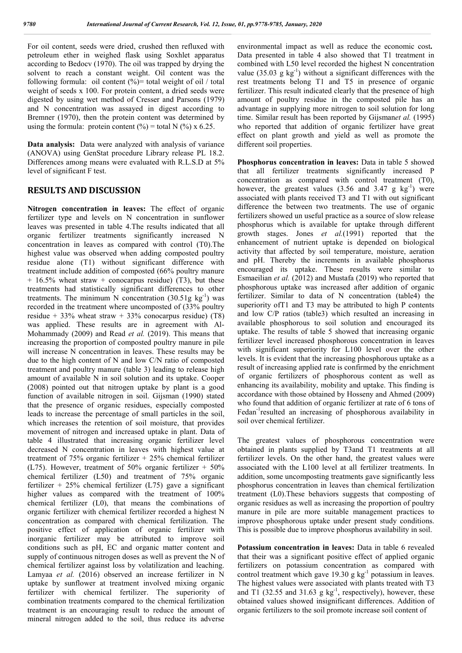For oil content, seeds were dried, crushed then refluxed with petroleum ether in weighed flask using Soxhlet apparatus according to Bedocv (1970). The oil was trapped by drying the solvent to reach a constant weight. Oil content was the following formula: oil content  $(\% )$  total weight of oil / total weight of seeds x 100. For protein content, a dried seeds were digested by using wet method of Cresser and Parsons (1979) and N concentration was assayed in digest according to Bremner (1970), then the protein content was determined by using the formula: protein content  $(\%)$  = total N  $(\%)$  x 6.25.

**Data analysis:** Data were analyzed with analysis of variance (ANOVA) using GenStat procedure Library release PL 18.2. Differences among means were evaluated with R.L.S.D at 5% level of significant F test.

## **RESULTS AND DISCUSSION**

**Nitrogen concentration in leaves:** The effect of organic fertilizer type and levels on N concentration in sunflower leaves was presented in table 4.The results indicated that all organic fertilizer treatments significantly increased N concentration in leaves as compared with control (T0).The highest value was observed when adding composted poultry residue alone (T1) without significant difference with treatment include addition of composted (66% poultry manure  $+ 16.5\%$  wheat straw  $+$  conocarpus residue) (T3), but these treatments had statistically significant differences to other treatments. The minimum N concentration  $(30.51g \text{ kg}^{-1})$  was recorded in the treatment where uncomposted of (33% poultry residue + 33% wheat straw + 33% conocarpus residue) (T8) was applied. These results are in agreement with Al-Mohammady (2009) and Read *et al.* (2019). This means that increasing the proportion of composted poultry manure in pile will increase N concentration in leaves. These results may be due to the high content of N and low C/N ratio of composted treatment and poultry manure (table 3) leading to release high amount of available N in soil solution and its uptake. Cooper (2008) pointed out that nitrogen uptake by plant is a good function of available nitrogen in soil. Gijsman (1990) stated that the presence of organic residues, especially composted leads to increase the percentage of small particles in the soil, which increases the retention of soil moisture, that provides movement of nitrogen and increased uptake in plant. Data of table 4 illustrated that increasing organic fertilizer level decreased N concentration in leaves with highest value at treatment of  $75\%$  organic fertilizer  $+25\%$  chemical fertilizer (L75). However, treatment of 50% organic fertilizer  $+$  50% chemical fertilizer (L50) and treatment of 75% organic fertilizer + 25% chemical fertilizer (L75) gave a significant higher values as compared with the treatment of 100% chemical fertilizer (L0), that means the combinations of organic fertilizer with chemical fertilizer recorded a highest N concentration as compared with chemical fertilization. The positive effect of application of organic fertilizer with inorganic fertilizer may be attributed to improve soil conditions such as pH, EC and organic matter content and supply of continuous nitrogen doses as well as prevent the N of chemical fertilizer against loss by volatilization and leaching. Lamyaa *et al.* (2016) observed an increase fertilizer in N uptake by sunflower at treatment involved mixing organic fertilizer with chemical fertilizer. The superiority of combination treatments compared to the chemical fertilization treatment is an encouraging result to reduce the amount of mineral nitrogen added to the soil, thus reduce its adverse

environmental impact as well as reduce the economic cost**.** Data presented in table 4 also showed that T1 treatment in combined with L50 level recorded the highest N concentration value  $(35.03 \text{ g kg}^{-1})$  without a significant differences with the rest treatments belong T1 and T5 in presence of organic fertilizer. This result indicated clearly that the presence of high amount of poultry residue in the composted pile has an advantage in supplying more nitrogen to soil solution for long time. Similar result has been reported by Gijsman*et al.* (1995) who reported that addition of organic fertilizer have great effect on plant growth and yield as well as promote the different soil properties.

**Phosphorus concentration in leaves:** Data in table 5 showed that all fertilizer treatments significantly increased P concentration as compared with control treatment (T0), however, the greatest values  $(3.56 \text{ and } 3.47 \text{ g kg}^{-1})$  were associated with plants received T3 and T1 with out significant difference the between two treatments. The use of organic fertilizers showed un useful practice as a source of slow release phosphorus which is available for uptake through different growth stages. Jones *et al.*(1991) reported that the enhancement of nutrient uptake is depended on biological activity that affected by soil temperature, moisture, aeration and pH. Thereby the increments in available phosphorus encouraged its uptake. These results were similar to Esmaeilian *et al.* (2012) and Mustafa (2019) who reported that phosphorous uptake was increased after addition of organic fertilizer. Similar to data of N concentration (table4) the superiority of T1 and T3 may be attributed to high P contents and low C/P ratios (table3) which resulted an increasing in available phosphorous to soil solution and encouraged its uptake. The results of table 5 showed that increasing organic fertilizer level increased phosphorous concentration in leaves with significant superiority for L100 level over the other levels. It is evident that the increasing phosphorous uptake as a result of increasing applied rate is confirmed by the enrichment of organic fertilizers of phosphorous content as well as enhancing its availability, mobility and uptake. This finding is accordance with those obtained by Hosseny and Ahmed (2009) who found that addition of organic fertilizer at rate of 6 tons of Fedan<sup>-1</sup>resulted an increasing of phosphorous availability in soil over chemical fertilizer.

The greatest values of phosphorous concentration were obtained in plants supplied by T3and T1 treatments at all fertilizer levels. On the other hand, the greatest values were associated with the L100 level at all fertilizer treatments. In addition, some uncomposting treatments gave significantly less phosphorus concentration in leaves than chemical fertilization treatment (L0).These behaviors suggests that composting of organic residues as well as increasing the proportion of poultry manure in pile are more suitable management practices to improve phosphorous uptake under present study conditions. This is possible due to improve phosphorus availability in soil.

**Potassium concentration in leaves:** Data in table 6 revealed that their was a significant positive effect of applied organic fertilizers on potassium concentration as compared with control treatment which gave  $19.30 \text{ g kg}^{-1}$  potassium in leaves. The highest values were associated with plants treated with T3 and T1 (32.55 and 31.63  $g kg^{-1}$ , respectively), however, these obtained values showed insignificant differences. Addition of organic fertilizers to the soil promote increase soil content of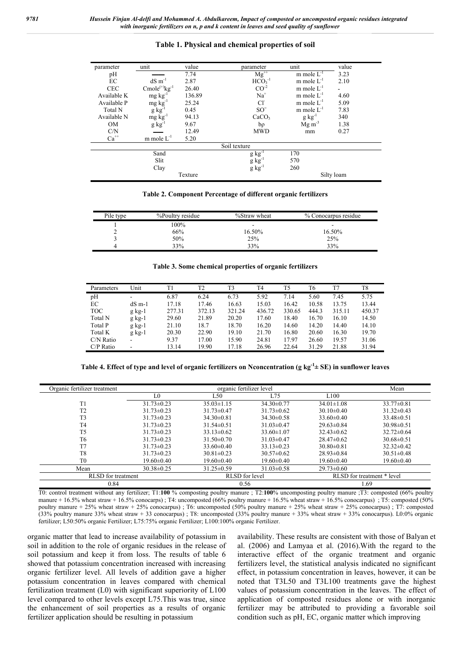#### **Table 1. Physical and chemical properties of soil**

| parameter          | unit                                   | value   | parameter                                 | unit                  | value      |
|--------------------|----------------------------------------|---------|-------------------------------------------|-----------------------|------------|
|                    |                                        |         |                                           |                       |            |
| pH                 |                                        | 7.74    | $Mg^{++}$                                 | m mole $L^{-1}$       | 3.23       |
| $\rm EC$           | $dS \, m^{-1}$                         | 2.87    | $HCO3-1$                                  | m mole $L^{-1}$       | 2.10       |
| <b>CEC</b>         | $\mathbf{Cmole}^{(+)}\mathbf{kg}^{-1}$ | 26.40   | $CO^{-2}$                                 | m mole $L^{-1}$       | ۰.         |
| Available K        | $mg \, kg^{-1}$                        | 136.89  | $Na+$                                     | m mole $L^{-1}$       | 4.60       |
| Available P        | $mg kg^{-1}$                           | 25.24   | $Cl-$                                     | m mole $L^{-1}$       | 5.09       |
| Total N            | $g kg^{-1}$                            | 0.45    | $SO=$                                     | m mole $L^{-1}$       | 7.83       |
| Available N        |                                        | 94.13   | CaCO <sub>3</sub>                         | $g kg^{-1}$           | 340        |
| <b>OM</b>          | $mg \, kg^{-1}$<br>g kg <sup>-1</sup>  | 9.67    | $b\rho$                                   | $Mg \, \text{m}^{-3}$ | 1.38       |
| C/N                |                                        | 12.49   | <b>MWD</b>                                | mm                    | 0.27       |
| $\mathrm{Ca}^{++}$ | m mole $L^{-1}$                        | 5.20    |                                           |                       |            |
|                    |                                        |         | Soil texture                              |                       |            |
|                    | Sand                                   |         |                                           | 170                   |            |
|                    | Slit                                   |         |                                           | 570                   |            |
|                    | Clay                                   |         | $g kg^{-1}$<br>$g kg^{-1}$<br>$g kg^{-1}$ | 260                   |            |
|                    |                                        | Texture |                                           |                       | Silty loam |

**Table 2. Component Percentage of different organic fertilizers**

| Pile type | %Poultry residue | %Straw wheat | % Conocarpus residue |
|-----------|------------------|--------------|----------------------|
|           | 100%             |              | -                    |
|           | 66%              | 16.50%       | 16.50%               |
|           | 50%              | 25%          | 25%                  |
|           | 33%              | 33%          | 33%                  |

|  |  |  | Table 3. Some chemical properties of organic fertilizers |  |
|--|--|--|----------------------------------------------------------|--|
|  |  |  |                                                          |  |

| Parameters  | Unit     | T1     | T <sub>2</sub> | T <sub>3</sub> | T4     | T5     | T6    | T7     | T8     |
|-------------|----------|--------|----------------|----------------|--------|--------|-------|--------|--------|
| pH          | ۰        | 6.87   | 6.24           | 6.73           | 5.92   | 7.14   | 5.60  | 7.45   | 5.75   |
| EС          | $dS$ m-1 | 17.18  | 17.46          | 16.63          | 15.03  | 16.42  | 10.58 | 13.75  | 13.44  |
| <b>TOC</b>  | $g$ kg-1 | 277.31 | 372.13         | 321.24         | 436.72 | 330.65 | 444.3 | 315.11 | 450.37 |
| Total N     | g kg-1   | 29.60  | 21.89          | 20.20          | 17.60  | 18.40  | 16.70 | 16.10  | 14.50  |
| Total P     | $g$ kg-1 | 21.10  | 18.7           | 18.70          | 16.20  | 14.60  | 14.20 | 14.40  | 14.10  |
| Total K     | g kg-1   | 20.30  | 22.90          | 19.10          | 21.70  | 16.80  | 20.60 | 16.30  | 19.70  |
| $C/N$ Ratio | ۰        | 9.37   | 17.00          | 15.90          | 24.81  | 17.97  | 26.60 | 19.57  | 31.06  |
| $C/P$ Ratio | ۰        | 13.14  | 19.90          | 17.18          | 26.96  | 22.64  | 31.29 | 21.88  | 31.94  |

**Table 4. Effect of type and level of organic fertilizers on Nconcentration (g kg-1 ± SE) in sunflower leaves**

| Organic fertilizer treatment |                  | Mean             |                  |                  |                            |
|------------------------------|------------------|------------------|------------------|------------------|----------------------------|
|                              | L <sub>0</sub>   | L50              | L75              | L100             |                            |
| T1                           | $31.73 \pm 0.23$ | $35.03\pm1.15$   | $34.30\pm0.77$   | $34.01 \pm 1.08$ | $33.77 \pm 0.81$           |
| T <sub>2</sub>               | $31.73 \pm 0.23$ | $31.73 \pm 0.47$ | $31.73 \pm 0.62$ | $30.10 \pm 0.40$ | $31.32 \pm 0.43$           |
| T <sub>3</sub>               | $31.73 \pm 0.23$ | $34.30\pm0.81$   | $34.30\pm0.58$   | $33.60 \pm 0.40$ | $33.48 \pm 0.51$           |
| T <sub>4</sub>               | $31.73 \pm 0.23$ | $31.54\pm0.51$   | $31.03 \pm 0.47$ | $29.63 \pm 0.84$ | $30.98 \pm 0.51$           |
| T <sub>5</sub>               | $31.73 \pm 0.23$ | $33.13 \pm 0.62$ | $33.60 \pm 1.07$ | $32.43\pm0.62$   | $32.72\pm0.64$             |
| T <sub>6</sub>               | $31.73 \pm 0.23$ | $31.50 \pm 0.70$ | $31.03\pm0.47$   | $28.47 \pm 0.62$ | $30.68 \pm 0.51$           |
| T <sub>7</sub>               | $31.73 \pm 0.23$ | $33.60 \pm 0.40$ | $33.13 \pm 0.23$ | $30.80 \pm 0.81$ | $32.32\pm0.42$             |
| T <sub>8</sub>               | $31.73 \pm 0.23$ | $30.81 \pm 0.23$ | $30.57 \pm 0.62$ | $28.93 \pm 0.84$ | $30.51 \pm 0.48$           |
| T <sub>0</sub>               | $19.60 \pm 0.40$ | $19.60 \pm 0.40$ | $19.60 \pm 0.40$ | $19.60 \pm 0.40$ | $19.60 \pm 0.40$           |
| Mean                         | $30.38 \pm 0.25$ | $31.25 \pm 0.59$ | $31.03\pm0.58$   | $29.73 \pm 0.60$ |                            |
| <b>RLSD</b> for treatment    |                  | RLSD for level   |                  |                  | RLSD for treatment * level |
| 0.84                         |                  | 0.56             |                  |                  | 1.69                       |

T0: control treatment without any fertilizer; T1:**100** % composting poultry manure ; T2:**100**% uncomposting poultry manure ;T3: composted (66% poultry manure + 16.5% wheat straw + 16.5% conocarps); T4: uncomposted (66% poultry manure + 16.5% wheat straw + 16.5% conocarpus); T5: composted (50% poultry manure + 25% wheat straw + 25% conocarpus) ; T6: uncomposted (50% poultry manure + 25% wheat straw + 25% conocarpus) ; T7: composted (33% poultry manure 33% wheat straw + 33 conocarpus) ; T8: uncomposted (33% poultry manure + 33% wheat straw + 33% conocarpus). L0:0% organic fertilizer; L50:50% organic Fertilizer; L75:75% organic Fertilizer; L100:100% organic Fertilizer.

organic matter that lead to increase availability of potassium in soil in addition to the role of organic residues in the release of soil potassium and keep it from loss. The results of table 6 showed that potassium concentration increased with increasing organic fertilizer level. All levels of addition gave a higher potassium concentration in leaves compared with chemical fertilization treatment (L0) with significant superiority of L100 level compared to other levels except L75.This was true, since the enhancement of soil properties as a results of organic fertilizer application should be resulting in potassium

availability. These results are consistent with those of Balyan et al. (2006) and Lamyaa et al. (2016).With the regard to the interactive effect of the organic treatment and organic fertilizers level, the statistical analysis indicated no significant effect, in potassium concentration in leaves, however, it can be noted that T3L50 and T3L100 treatments gave the highest values of potassium concentration in the leaves. The effect of application of composted residues alone or with inorganic fertilizer may be attributed to providing a favorable soil condition such as pH, EC, organic matter which improving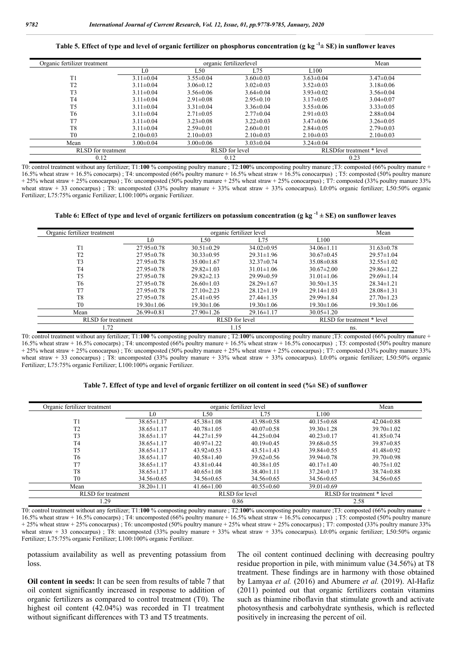**Table 5. Effect of type and level of organic fertilizer on phosphorus concentration (g kg -1 ± SE) in sunflower leaves**

| Organic fertilizer treatment |                 | Mean            |                 |                  |                           |  |  |
|------------------------------|-----------------|-----------------|-----------------|------------------|---------------------------|--|--|
|                              | LO              | L50             | L75             | L <sub>100</sub> |                           |  |  |
| T1                           | $3.11 \pm 0.04$ | $3.55 \pm 0.04$ | $3.60 \pm 0.03$ | $3.63 \pm 0.04$  | $3.47 \pm 0.04$           |  |  |
| T2                           | $3.11 \pm 0.04$ | $3.06 \pm 0.12$ | $3.02 \pm 0.03$ | $3.52 \pm 0.03$  | $3.18 \pm 0.06$           |  |  |
| T <sub>3</sub>               | $3.11 \pm 0.04$ | $3.56 \pm 0.06$ | $3.64 \pm 0.04$ | $3.93 \pm 0.02$  | $3.56 \pm 0.04$           |  |  |
| T <sub>4</sub>               | $3.11 \pm 0.04$ | $2.91 \pm 0.08$ | $2.95 \pm 0.10$ | $3.17 \pm 0.05$  | $3.04 \pm 0.07$           |  |  |
| T <sub>5</sub>               | $3.11 \pm 0.04$ | $3.31 \pm 0.04$ | $3.36 \pm 0.04$ | $3.55 \pm 0.06$  | $3.33 \pm 0.05$           |  |  |
| T <sub>6</sub>               | $3.11 \pm 0.04$ | $2.71 \pm 0.05$ | $2.77 \pm 0.04$ | $2.91 \pm 0.03$  | $2.88 \pm 0.04$           |  |  |
| T7                           | $3.11 \pm 0.04$ | $3.23 \pm 0.08$ | $3.22 \pm 0.03$ | $3.47 \pm 0.06$  | $3.26 \pm 0.05$           |  |  |
| T <sub>8</sub>               | $3.11 \pm 0.04$ | $2.59 \pm 0.01$ | $2.60 \pm 0.01$ | $2.84 \pm 0.05$  | $2.79 \pm 0.03$           |  |  |
| T <sub>0</sub>               | $2.10\pm0.03$   | $2.10\pm0.03$   | $2.10 \pm 0.03$ | $2.10\pm0.03$    | $2.10\pm0.03$             |  |  |
| Mean                         | $3.00 \pm 0.04$ | $3.00 \pm 0.06$ | $3.03 \pm 0.04$ | $3.24 \pm 0.04$  |                           |  |  |
| RLSD for treatment           |                 |                 | RLSD for level  |                  | RLSDfor treatment * level |  |  |
| 0.12                         |                 |                 | 0.12            |                  | 0.23                      |  |  |

T0: control treatment without any fertilizer; T1:**100** % composting poultry manure ; T2:**100**% uncomposting poultry manure ;T3: composted (66% poultry manure + 16.5% wheat straw + 16.5% conocarps) ; T4: uncomposted (66% poultry manure + 16.5% wheat straw + 16.5% conocarpus) ; T5: composted (50% poultry manure  $+ 25\%$  wheat straw  $+ 25\%$  conocarpus); T6: uncomposted (50% poultry manure  $+ 25\%$  wheat straw  $+ 25\%$  conocarpus); T7: composted (33% poultry manure 33% wheat straw + 33 conocarpus); T8: uncomposted (33% poultry manure + 33% wheat straw + 33% conocarpus). L0:0% organic fertilizer; L50:50% organic Fertilizer; L75:75% organic Fertilizer; L100:100% organic Fertilizer.

**Table 6: Effect of type and level of organic fertilizers on potassium concentration (g kg -1 ± SE) on sunflower leaves**

| Organic fertilizer treatment |                  | organic fertilizer level |                  | Mean             |                            |
|------------------------------|------------------|--------------------------|------------------|------------------|----------------------------|
|                              | L0               | L50                      | L75              | L100             |                            |
| T1                           | $27.95 \pm 0.78$ | $30.51 \pm 0.29$         | $34.02\pm0.95$   | $34.06\pm1.11$   | $31.63 \pm 0.78$           |
| T <sub>2</sub>               | $27.95 \pm 0.78$ | $30.33 \pm 0.95$         | $29.31 \pm 1.96$ | $30.67 \pm 0.45$ | $29.57 \pm 1.04$           |
| T <sub>3</sub>               | $27.95 \pm 0.78$ | $35.00 \pm 1.67$         | $32.37\pm0.74$   | $35.08 \pm 0.88$ | $32.55 \pm 1.02$           |
| T <sub>4</sub>               | $27.95 \pm 0.78$ | $29.82\pm1.03$           | $31.01 \pm 1.06$ | $30.67 \pm 2.00$ | $29.86 \pm 1.22$           |
| T <sub>5</sub>               | $27.95 \pm 0.78$ | $29.82 \pm 2.13$         | $29.99 \pm 0.59$ | $31.01 \pm 1.06$ | $29.69 \pm 1.14$           |
| T <sub>6</sub>               | $27.95 \pm 0.78$ | $26.60 \pm 1.03$         | $28.29 \pm 1.67$ | $30.50 \pm 1.35$ | $28.34 \pm 1.21$           |
| T7                           | $27.95 \pm 0.78$ | $27.10 \pm 2.23$         | $28.12 \pm 1.19$ | $29.14 \pm 1.03$ | $28.08 \pm 1.31$           |
| T <sub>8</sub>               | $27.95 \pm 0.78$ | $25.41 \pm 0.95$         | $27.44 \pm 1.35$ | $29.99 \pm 1.84$ | $27.70 \pm 1.23$           |
| T <sub>0</sub>               | $19.30 \pm 1.06$ | $19.30 \pm 1.06$         | $19.30 \pm 1.06$ | $19.30 \pm 1.06$ | $19.30 \pm 1.06$           |
| Mean                         | $26.99 \pm 0.81$ | $27.90 \pm 1.26$         | $29.16 \pm 1.17$ | $30.05 \pm 1.20$ |                            |
| <b>RLSD</b> for treatment    |                  |                          | RLSD for level   |                  | RLSD for treatment * level |
| l.72                         |                  |                          | 1.15             |                  | ns.                        |

T0: control treatment without any fertilizer; T1:**100** % composting poultry manure ; T2:**100**% uncomposting poultry manure ;T3: composted (66% poultry manure + 16.5% wheat straw + 16.5% conocarps) ; T4: uncomposted (66% poultry manure + 16.5% wheat straw + 16.5% conocarpus) ; T5: composted (50% poultry manure + 25% wheat straw + 25% conocarpus) ; T6: uncomposted (50% poultry manure + 25% wheat straw + 25% conocarpus) ; T7: composted (33% poultry manure 33% wheat straw + 33 conocarpus) ; T8: uncomposted (33% poultry manure + 33% wheat straw + 33% conocarpus). L0:0% organic fertilizer; L50:50% organic Fertilizer; L75:75% organic Fertilizer; L100:100% organic Fertilizer.

**Table 7. Effect of type and level of organic fertilizer on oil content in seed (%± SE) of sunflower**

| Organic fertilizer treatment |                  | organic fertilizer level |                  |                  |                            |  |  |  |
|------------------------------|------------------|--------------------------|------------------|------------------|----------------------------|--|--|--|
|                              | L0               | L50                      | L75              | L100             |                            |  |  |  |
| T1                           | $38.65 \pm 1.17$ | $45.38 \pm 1.08$         | $43.98 \pm 0.58$ | $40.15 \pm 0.68$ | $42.04 \pm 0.88$           |  |  |  |
| T <sub>2</sub>               | $38.65 \pm 1.17$ | $40.78 \pm 1.05$         | $40.07 \pm 0.58$ | $39.30 \pm 1.28$ | $39.70 \pm 1.02$           |  |  |  |
| T <sub>3</sub>               | $38.65 \pm 1.17$ | $44.27 \pm 1.59$         | $44.25 \pm 0.04$ | $40.23 \pm 0.17$ | $41.85 \pm 0.74$           |  |  |  |
| T4                           | $38.65 \pm 1.17$ | $40.97 \pm 1.22$         | $40.19 \pm 0.45$ | $39.68 \pm 0.55$ | $39.87\pm0.85$             |  |  |  |
| T5                           | $38.65 \pm 1.17$ | $43.92 \pm 0.53$         | $43.51 \pm 1.43$ | $39.84 \pm 0.55$ | $41.48 \pm 0.92$           |  |  |  |
| T6                           | $38.65 \pm 1.17$ | $40.58 \pm 1.40$         | $39.62 \pm 0.56$ | $39.94 \pm 0.78$ | $39.70 \pm 0.98$           |  |  |  |
| T7                           | $38.65 \pm 1.17$ | $43.81 \pm 0.44$         | $40.38\pm1.05$   | $40.17\pm1.40$   | $40.75 \pm 1.02$           |  |  |  |
| T8                           | $38.65 \pm 1.17$ | $40.65 \pm 1.08$         | $38.40\pm1.11$   | $37.24 \pm 0.17$ | $38.74 \pm 0.88$           |  |  |  |
| T <sub>0</sub>               | $34.56 \pm 0.65$ | $34.56 \pm 0.65$         | $34.56 \pm 0.65$ | $34.56 \pm 0.65$ | $34.56 \pm 0.65$           |  |  |  |
| Mean                         | $38.20 \pm 1.11$ | $41.66 \pm 1.00$         | $40.55 \pm 0.60$ | $39.01 \pm 0.69$ |                            |  |  |  |
| <b>RLSD</b> for treatment    |                  |                          | RLSD for level   |                  | RLSD for treatment * level |  |  |  |
| .29                          |                  |                          | 0.86             |                  | 2.58                       |  |  |  |

T0: control treatment without any fertilizer; T1:**100** % composting poultry manure ; T2:**100**% uncomposting poultry manure ;T3: composted (66% poultry manure + 16.5% wheat straw + 16.5% conocarps) ; T4: uncomposted (66% poultry manure + 16.5% wheat straw + 16.5% conocarpus) ; T5: composted (50% poultry manure + 25% wheat straw + 25% conocarpus) ; T6: uncomposted (50% poultry manure + 25% wheat straw + 25% conocarpus) ; T7: composted (33% poultry manure 33% wheat straw + 33 conocarpus); T8: uncomposted (33% poultry manure + 33% wheat straw + 33% conocarpus). L0:0% organic fertilizer; L50:50% organic Fertilizer; L75:75% organic Fertilizer; L100:100% organic Fertilizer.

potassium availability as well as preventing potassium from loss.

**Oil content in seeds:** It can be seen from results of table 7 that oil content significantly increased in response to addition of organic fertilizers as compared to control treatment (T0). The highest oil content (42.04%) was recorded in T1 treatment without significant differences with T3 and T5 treatments.

The oil content continued declining with decreasing poultry residue proportion in pile, with minimum value (34.56%) at T8 treatment. These findings are in harmony with those obtained by Lamyaa *et al.* (2016) and Abumere *et al.* (2019). Al-Hafiz (2011) pointed out that organic fertilizers contain vitamins such as thiamine riboflavin that stimulate growth and activate photosynthesis and carbohydrate synthesis, which is reflected positively in increasing the percent of oil.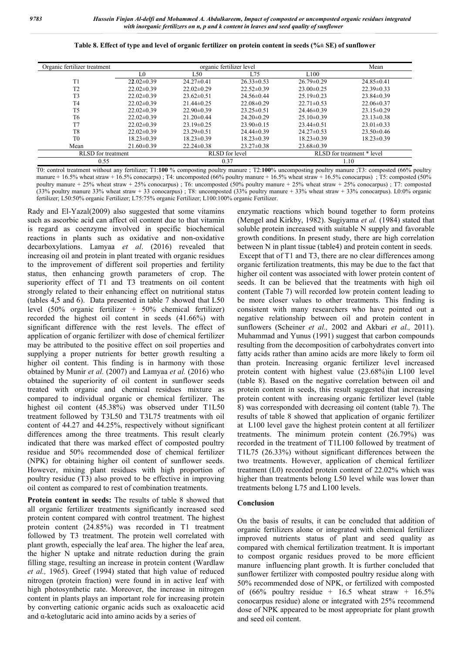|  | Table 8. Effect of type and level of organic fertilizer on protein content in seeds (%± SE) of sunflower |  |  |  |  |  |  |  |  |  |
|--|----------------------------------------------------------------------------------------------------------|--|--|--|--|--|--|--|--|--|
|--|----------------------------------------------------------------------------------------------------------|--|--|--|--|--|--|--|--|--|

| Organic fertilizer treatment |                  | Mean             |                       |                            |                  |  |
|------------------------------|------------------|------------------|-----------------------|----------------------------|------------------|--|
|                              | L0               | L50              | L75                   | L100                       |                  |  |
| T1                           | $22.02 \pm 0.39$ | $24.27 \pm 0.41$ | $26.33 \pm 0.53$      | $26.79 \pm 0.29$           | $24.85 \pm 0.41$ |  |
| T <sub>2</sub>               | $22.02\pm0.39$   | $22.02 \pm 0.29$ | $22.52 \pm 0.39$      | $23.00 \pm 0.25$           | $22.39 \pm 0.33$ |  |
| T <sub>3</sub>               | $22.02\pm0.39$   | $23.62 \pm 0.51$ | $24.56 \pm 0.44$      | $25.19 \pm 0.23$           | $23.84\pm0.39$   |  |
| T <sub>4</sub>               | $22.02\pm0.39$   | $21.44\pm0.25$   | $22.08 \pm 0.29$      | $22.71 \pm 0.53$           | $22.06 \pm 0.37$ |  |
| T <sub>5</sub>               | $22.02\pm0.39$   | $22.90\pm0.39$   | $23.25 \pm 0.51$      | $24.46 \pm 0.39$           | $23.15 \pm 0.29$ |  |
| T <sub>6</sub>               | $22.02\pm0.39$   | $21.20 \pm 0.44$ | $24.20 \pm 0.29$      | $25.10\pm0.39$             | $23.13 \pm 0.38$ |  |
| T7                           | $22.02\pm0.39$   | $23.19\pm0.25$   | $23.90\pm0.15$        | $23.44\pm0.51$             | $23.01 \pm 0.33$ |  |
| T <sub>8</sub>               | $22.02\pm0.39$   | $23.29 \pm 0.51$ | $24.44 \pm 0.39$      | $24.27\pm0.53$             | $23.50 \pm 0.46$ |  |
| T <sub>0</sub>               | $18.23 \pm 0.39$ | $18.23 \pm 0.39$ | $18.23 \pm 0.39$      | $18.23 \pm 0.39$           | $18.23 \pm 0.39$ |  |
| Mean                         | $21.60 \pm 0.39$ | $22.24 \pm 0.38$ | $23.27 \pm 0.38$      | $23.68 \pm 0.39$           |                  |  |
| <b>RLSD</b> for treatment    |                  |                  | <b>RLSD</b> for level | RLSD for treatment * level |                  |  |
| 0.55                         |                  |                  | 0.37                  | 1.10                       |                  |  |

T0: control treatment without any fertilizer; T1:**100** % composting poultry manure ; T2:**100**% uncomposting poultry manure ;T3: composted (66% poultry manure + 16.5% wheat straw + 16.5% conocarps) ; T4: uncomposted (66% poultry manure + 16.5% wheat straw + 16.5% conocarpus) ; T5: composted (50%) poultry manure + 25% wheat straw + 25% conocarpus) ; T6: uncomposted (50% poultry manure + 25% wheat straw + 25% conocarpus) ; T7: composted (33% poultry manure 33% wheat straw + 33 conocarpus) ; T8: uncomposted (33% poultry manure + 33% wheat straw + 33% conocarpus). L0:0% organic fertilizer; L50:50% organic Fertilizer; L75:75% organic Fertilizer; L100:100% organic Fertilizer.

Rady and El-Yazal(2009) also suggested that some vitamins such as ascorbic acid can affect oil content due to that vitamin is regard as coenzyme involved in specific biochemical reactions in plants such as oxidative and non-oxidative decarboxylations. Lamyaa *et al*. (2016) revealed that increasing oil and protein in plant treated with organic residues to the improvement of different soil properties and fertility status, then enhancing growth parameters of crop. The superiority effect of T1 and T3 treatments on oil content strongly related to their enhancing effect on nutritional status (tables 4,5 and 6). Data presented in table 7 showed that L50 level (50% organic fertilizer + 50% chemical fertilizer) recorded the highest oil content in seeds (41.66%) with significant difference with the rest levels. The effect of application of organic fertilizer with dose of chemical fertilizer may be attributed to the positive effect on soil properties and supplying a proper nutrients for better growth resulting a higher oil content. This finding is in harmony with those obtained by Munir *et al.* (2007) and Lamyaa *et al.* (2016) who obtained the superiority of oil content in sunflower seeds treated with organic and chemical residues mixture as compared to individual organic or chemical fertilizer. The highest oil content (45.38%) was observed under T1L50 treatment followed by T3L50 and T3L75 treatments with oil content of 44.27 and 44.25%, respectively without significant differences among the three treatments. This result clearly indicated that there was marked effect of composted poultry residue and 50% recommended dose of chemical fertilizer (NPK) for obtaining higher oil content of sunflower seeds. However, mixing plant residues with high proportion of poultry residue (T3) also proved to be effective in improving oil content as compared to rest of combination treatments.

**Protein content in seeds:** The results of table 8 showed that all organic fertilizer treatments significantly increased seed protein content compared with control treatment. The highest protein content (24.85%) was recorded in T1 treatment followed by T3 treatment. The protein well correlated with plant growth, especially the leaf area. The higher the leaf area, the higher N uptake and nitrate reduction during the grain filling stage, resulting an increase in protein content (Wardlaw *et al.,* 1965). Greef (1994) stated that high value of reduced nitrogen (protein fraction) were found in in active leaf with high photosynthetic rate. Moreover, the increase in nitrogen content in plants plays an important role for increasing protein by converting cationic organic acids such as oxaloacetic acid and  $\alpha$ -ketoglutaric acid into amino acids by a series of

enzymatic reactions which bound together to form proteins (Mengel and Kirkby, 1982). Sugiyama *et al.* (1984) stated that soluble protein increased with suitable N supply and favorable growth conditions. In present study, there are high correlation between N in plant tissue (table4) and protein content in seeds. Except that of T1 and T3, there are no clear differences among organic fertilization treatments, this may be due to the fact that higher oil content was associated with lower protein content of seeds. It can be believed that the treatments with high oil content (Table 7) will recorded low protein content leading to be more closer values to other treatments. This finding is consistent with many researchers who have pointed out a negative relationship between oil and protein content in sunflowers (Scheiner *et al.,* 2002 and Akbari *et al.,* 2011). Muhammad and Yunus (1991) suggest that carbon compounds resulting from the decomposition of carbohydrates convert into fatty acids rather than amino acids are more likely to form oil than protein. Increasing organic fertilizer level increased protein content with highest value (23.68%)in L100 level (table 8). Based on the negative correlation between oil and protein content in seeds, this result suggested that increasing protein content with increasing organic fertilizer level (table 8) was corresponded with decreasing oil content (table 7). The results of table 8 showed that application of organic fertilizer at L100 level gave the highest protein content at all fertilizer treatments. The minimum protein content (26.79%) was recorded in the treatment of T1L100 followed by treatment of T1L75 (26.33%) without significant differences between the two treatments. However, application of chemical fertilizer treatment (L0) recorded protein content of 22.02% which was higher than treatments belong L50 level while was lower than treatments belong L75 and L100 levels.

#### **Conclusion**

On the basis of results, it can be concluded that addition of organic fertilizers alone or integrated with chemical fertilizer improved nutrients status of plant and seed quality as compared with chemical fertilization treatment. It is important to compost organic residues proved to be more efficient manure influencing plant growth. It is further concluded that sunflower fertilizer with composted poultry residue along with 50% recommended dose of NPK, or fertilized with composted of  $(66\%$  poultry residue + 16.5 wheat straw + 16.5% conocarpus residue) alone or integrated with 25% recommend dose of NPK appeared to be most appropriate for plant growth and seed oil content.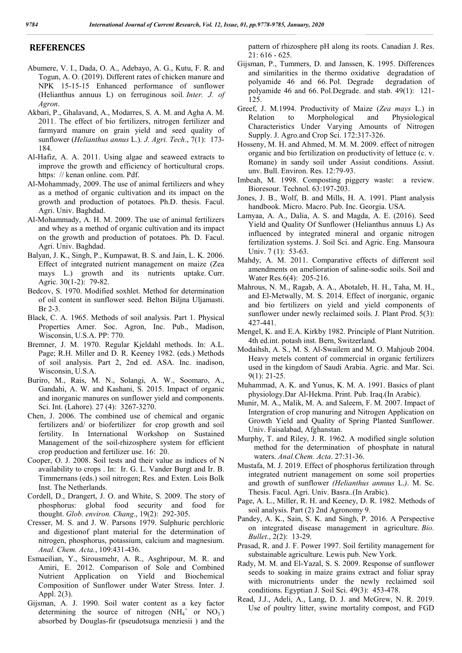## **REFERENCES**

- Abumere, V. I., Dada, O. A., Adebayo, A. G., Kutu, F. R. and Togun, A. O. (2019). Different rates of chicken manure and NPK 15-15-15 Enhanced performance of sunflower (Helianthus annuus L) on ferruginous soil*. Inter. J. of Agron*.
- Akbari, P., Ghalavand, A., Modarres, S. A. M. and Agha A. M. 2011. The effect of bio fertilizers, nitrogen fertilizer and farmyard manure on grain yield and seed quality of sunflower (*Helianthus annus* L.). *J. Agri. Tech*., 7(1): 173- 184.
- Al-Hafiz, A. A. 2011. Using algae and seaweed extracts to improve the growth and efficiency of horticultural crops. https: // kenan online. com. Pdf.
- Al-Mohammady, 2009. The use of animal fertilizers and whey as a method of organic cultivation and its impact on the growth and production of potatoes. Ph.D. thesis. Facul. Agri. Univ. Baghdad.
- Al-Mohammady, A. H. M. 2009. The use of animal fertilizers and whey as a method of organic cultivation and its impact on the growth and production of potatoes. Ph. D. Facul. Agri. Univ. Baghdad.
- Balyan, J. K., Singh, P., Kumpawat, B. S. and Jain, L. K. 2006. Effect of integrated nutrient management on maize (Zea mays L.) growth and its nutrients uptake. Curr. Agric. 30(1-2): 79-82.
- Bedcov, S. 1970. Modified soxhlet. Method for determination of oil content in sunflower seed. Belton Biljna Uljamasti. Br 2-3.
- Black, C. A. 1965. Methods of soil analysis. Part 1. Physical Properties Amer. Soc. Agron, Inc. Pub., Madison, Wisconsin, U.S.A. PP: 770.
- Bremner, J. M. 1970. Regular Kjeldahl methods. In: A.L. Page; R.H. Miller and D. R. Keeney 1982. (eds.) Methods of soil analysis. Part 2, 2nd ed. ASA. Inc. inadison, Wisconsin, U.S.A.
- Buriro, M., Rais, M. N., Solangi, A. W., Soomaro, A., Gandahi, A. W. and Kashani, S. 2015. Impact of organic and inorganic manures on sunflower yield and components. Sci. Int. (Lahore). 27 (4): 3267-3270.
- Chen, J. 2006. The combined use of chemical and organic fertilizers and/ or biofertilizer for crop growth and soil fertility. In International Workshop on Sustained Management of the soil-rhizosphere system for efficient crop production and fertilizer use. 16: 20.
- Cooper, O. J. 2008. Soil tests and their value as indices of N availability to crops . In: Ir. G. L. Vander Burgt and Ir. B. Timmernans (eds.) soil nitrogen; Res. and Exten. Lois Bolk Inst. The Netherlands.
- Cordell, D., Drangert, J. O. and White, S. 2009. The story of phosphorus: global food security and food for thought. *Glob. environ. Chang*., 19(2): 292-305.
- Cresser, M. S. and J. W. Parsons 1979. Sulphuric perchloric and digestionof plant material for the determination of nitrogen, phosphorus, potassium, calcium and magnesium. *Anal. Chem. Acta.*, 109:431-436.
- Esmaeilian, Y., Sirousmehr, A. R., Asghripour, M. R. and Amiri, E. 2012. Comparison of Sole and Combined Nutrient Application on Yield and Biochemical Composition of Sunflower under Water Stress. Inter. J. Appl. 2(3).
- Gijsman, A. J. 1990. Soil water content as a key factor determining the source of nitrogen  $(NH_4^+$  or  $NO_3^-)$ absorbed by Douglas-fir (pseudotsuga menziesii ) and the

pattern of rhizosphere pH along its roots. Canadian J. Res. 21: 616 - 625.

- Gijsman, P., Tummers, D. and Janssen, K. 1995. Differences and similarities in the thermo oxidative degradation of polyamide 46 and 66. Pol. Degrade degradation of polyamide 46 and 66. Pol.Degrade. and stab. 49(1): 121- 125.
- Greef, J. M.1994. Productivity of Maize (*Zea mays* L.) in Relation to Morphological and Physiological Characteristics Under Varying Amounts of Nitrogen Supply. J. Agro.and Crop Sci. 172:317-326.
- Hosseny, M. H. and Ahmed, M. M. M. 2009. effect of nitrogen organic and bio fertilization on productivity of lettuce (c. v. Romane) in sandy soil under Assiut conditions. Assiut. unv. Bull. Environ. Res. 12:79-93.
- Imbeah, M. 1998. Composting piggery waste: a review. Bioresour. Technol. 63:197-203.
- Jones, J. B., Wolf, B. and Mills, H. A. 1991. Plant analysis handbook. Micro. Macro. Pub. Inc. Georgia. USA.
- Lamyaa, A. A., Dalia, A. S. and Magda, A. E. (2016). Seed Yield and Quality Of Sunflower (Helianthus annuus L) As influenced by integrated mineral and organic nitrogen fertilization systems. J. Soil Sci. and Agric. Eng. Mansoura Univ. 7 (1): 53-63.
- Mahdy, A. M. 2011. Comparative effects of different soil amendments on amelioration of saline-sodic soils. Soil and Water Res.6(4): 205-216.
- Mahrous, N. M., Ragab, A. A., Abotaleb, H. H., Taha, M. H., and El-Metwally, M. S. 2014. Effect of inorganic, organic and bio fertilizers on yield and yield components of sunflower under newly reclaimed soils. J. Plant Prod. 5(3): 427-441.
- Mengel, K. and E.A. Kirkby 1982. Principle of Plant Nutrition. 4th ed.int. potash inst. Bern, Switzerland.
- Modaihsh, A. S., M. S. Al-Swailem and M. O. Mahjoub 2004. Heavy metels content of commercial in organic fertilizers used in the kingdom of Saudi Arabia. Agric. and Mar. Sci. 9(1): 21-25.
- Muhammad, A. K. and Yunus, K. M. A. 1991. Basics of plant physiology.Dar Al-Hekma. Print. Pub. Iraq.(In Arabic).
- Munir, M. A., Malik, M. A. and Saleem, F. M. 2007. Impact of Intergration of crop manuring and Nitrogen Application on Growth Yield and Quality of Spring Planted Sunflower. Univ. Faisalabad, Afghanstan.
- Murphy, T. and Riley, J. R. 1962. A modified single solution method for the determination of phosphate in natural waters. *Anal.Chem. Acta*. 27:31-36.
- Mustafa, M. J. 2019. Effect of phosphorus fertilization through integrated nutrient management on some soil properties and growth of sunflower *(Helianthus annuus* L.*)*. M. Sc. Thesis. Facul. Agri. Univ. Basra..(In Arabic).
- Page, A. L., Miller, R. H. and Keeney, D. R. 1982. Methods of soil analysis. Part (2) 2nd Agronomy 9.
- Pandey, A. K., Sain, S. K. and Singh, P. 2016. A Perspective on integrated disease management in agriculture. *Bio. Bullet*., 2(2): 13-29.
- Prasad, R. and J. F. Power 1997. Soil fertility management for substainable agriculture. Lewis pub. New York.
- Rady, M. M. and El-Yazal, S. S. 2009. Response of sunflower seeds to soaking in maize grains extract and foliar spray with micronutrients under the newly reclaimed soil conditions. Egyptian J. Soil Sci. 49(3): 453-478.
- Read, J.J., Adeli, A., Lang, D. J. and McGrew, N. R. 2019. Use of poultry litter, swine mortality compost, and FGD